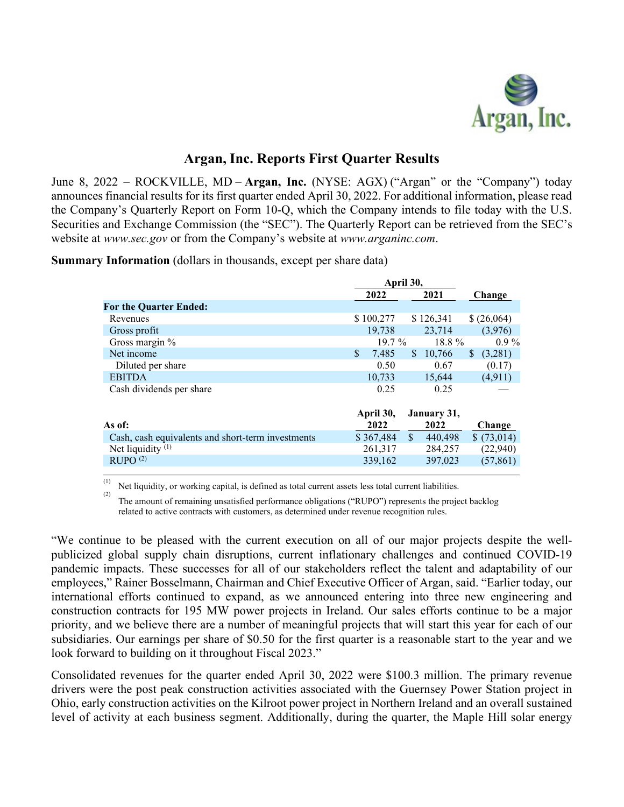

# **Argan, Inc. Reports First Quarter Results**

June 8, 2022 – ROCKVILLE, MD – **Argan, Inc.** (NYSE: AGX) ("Argan" or the "Company") today announces financial results for its first quarter ended April 30, 2022. For additional information, please read the Company's Quarterly Report on Form 10-Q, which the Company intends to file today with the U.S. Securities and Exchange Commission (the "SEC"). The Quarterly Report can be retrieved from the SEC's website at *www.sec.gov* or from the Company's website at *[www.arganinc.com](http://www.arganinc.com/)*.

**Summary Information** (dollars in thousands, except per share data)

|                                                   |             | April 30,               |                          |  |
|---------------------------------------------------|-------------|-------------------------|--------------------------|--|
|                                                   | 2022        | 2021                    | Change                   |  |
| <b>For the Quarter Ended:</b>                     |             |                         |                          |  |
| Revenues                                          | \$100,277   | \$126,341               | \$ (26,064)              |  |
| Gross profit                                      | 19.738      | 23,714                  | (3,976)                  |  |
| Gross margin %                                    | $19.7\%$    | $18.8\%$                | $0.9\%$                  |  |
| Net income                                        | \$<br>7.485 | 10,766<br><sup>\$</sup> | (3,281)<br><sup>\$</sup> |  |
| Diluted per share                                 | 0.50        | 0.67                    | (0.17)                   |  |
| <b>EBITDA</b>                                     | 10,733      | 15,644                  | (4.911)                  |  |
| Cash dividends per share                          | 0.25        | 0.25                    |                          |  |
|                                                   |             |                         |                          |  |
|                                                   | April 30,   | January 31,             |                          |  |
| As of:                                            | 2022        | 2022                    | Change                   |  |
| Cash, cash equivalents and short-term investments | \$367,484   | $\mathbf{s}$<br>440,498 | \$(73,014)               |  |
| Net liquidity $(1)$                               | 261,317     | 284,257                 | (22,940)                 |  |
| RUPO <sup>(2)</sup>                               | 339,162     | 397,023                 | (57, 861)                |  |
|                                                   |             |                         |                          |  |

 $(1)$  Net liquidity, or working capital, is defined as total current assets less total current liabilities.

(2) The amount of remaining unsatisfied performance obligations ("RUPO") represents the project backlog related to active contracts with customers, as determined under revenue recognition rules.

"We continue to be pleased with the current execution on all of our major projects despite the wellpublicized global supply chain disruptions, current inflationary challenges and continued COVID-19 pandemic impacts. These successes for all of our stakeholders reflect the talent and adaptability of our employees," Rainer Bosselmann, Chairman and Chief Executive Officer of Argan, said. "Earlier today, our international efforts continued to expand, as we announced entering into three new engineering and construction contracts for 195 MW power projects in Ireland. Our sales efforts continue to be a major priority, and we believe there are a number of meaningful projects that will start this year for each of our subsidiaries. Our earnings per share of \$0.50 for the first quarter is a reasonable start to the year and we look forward to building on it throughout Fiscal 2023."

Consolidated revenues for the quarter ended April 30, 2022 were \$100.3 million. The primary revenue drivers were the post peak construction activities associated with the Guernsey Power Station project in Ohio, early construction activities on the Kilroot power project in Northern Ireland and an overall sustained level of activity at each business segment. Additionally, during the quarter, the Maple Hill solar energy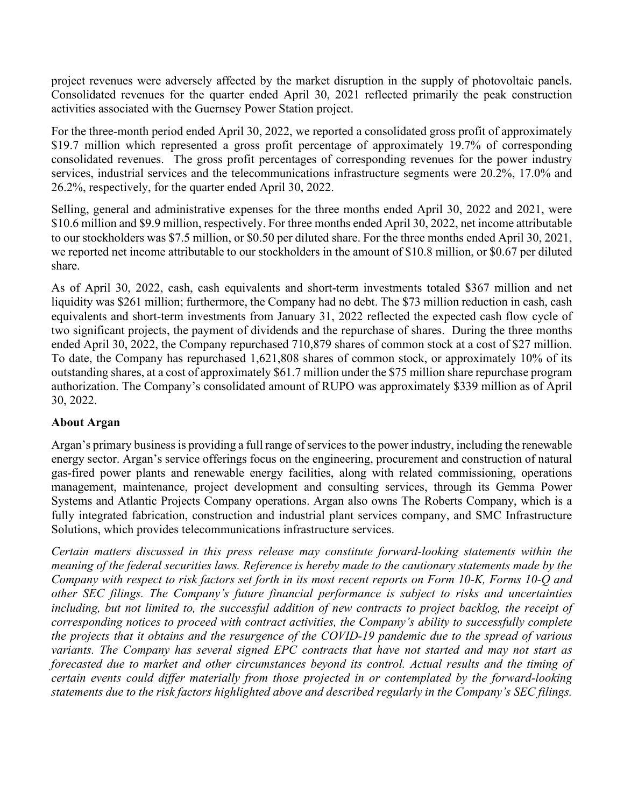project revenues were adversely affected by the market disruption in the supply of photovoltaic panels. Consolidated revenues for the quarter ended April 30, 2021 reflected primarily the peak construction activities associated with the Guernsey Power Station project.

For the three-month period ended April 30, 2022, we reported a consolidated gross profit of approximately \$19.7 million which represented a gross profit percentage of approximately 19.7% of corresponding consolidated revenues. The gross profit percentages of corresponding revenues for the power industry services, industrial services and the telecommunications infrastructure segments were 20.2%, 17.0% and 26.2%, respectively, for the quarter ended April 30, 2022.

Selling, general and administrative expenses for the three months ended April 30, 2022 and 2021, were \$10.6 million and \$9.9 million, respectively. For three months ended April 30, 2022, net income attributable to our stockholders was \$7.5 million, or \$0.50 per diluted share. For the three months ended April 30, 2021, we reported net income attributable to our stockholders in the amount of \$10.8 million, or \$0.67 per diluted share.

As of April 30, 2022, cash, cash equivalents and short-term investments totaled \$367 million and net liquidity was \$261 million; furthermore, the Company had no debt. The \$73 million reduction in cash, cash equivalents and short-term investments from January 31, 2022 reflected the expected cash flow cycle of two significant projects, the payment of dividends and the repurchase of shares. During the three months ended April 30, 2022, the Company repurchased 710,879 shares of common stock at a cost of \$27 million. To date, the Company has repurchased 1,621,808 shares of common stock, or approximately 10% of its outstanding shares, at a cost of approximately \$61.7 million under the \$75 million share repurchase program authorization. The Company's consolidated amount of RUPO was approximately \$339 million as of April 30, 2022.

## **About Argan**

Argan's primary business is providing a full range of services to the power industry, including the renewable energy sector. Argan's service offerings focus on the engineering, procurement and construction of natural gas-fired power plants and renewable energy facilities, along with related commissioning, operations management, maintenance, project development and consulting services, through its Gemma Power Systems and Atlantic Projects Company operations. Argan also owns The Roberts Company, which is a fully integrated fabrication, construction and industrial plant services company, and SMC Infrastructure Solutions, which provides telecommunications infrastructure services.

*Certain matters discussed in this press release may constitute forward-looking statements within the meaning of the federal securities laws. Reference is hereby made to the cautionary statements made by the Company with respect to risk factors set forth in its most recent reports on Form 10-K, Forms 10-Q and other SEC filings. The Company's future financial performance is subject to risks and uncertainties including, but not limited to, the successful addition of new contracts to project backlog, the receipt of corresponding notices to proceed with contract activities, the Company's ability to successfully complete the projects that it obtains and the resurgence of the COVID-19 pandemic due to the spread of various variants. The Company has several signed EPC contracts that have not started and may not start as forecasted due to market and other circumstances beyond its control. Actual results and the timing of certain events could differ materially from those projected in or contemplated by the forward-looking statements due to the risk factors highlighted above and described regularly in the Company's SEC filings.*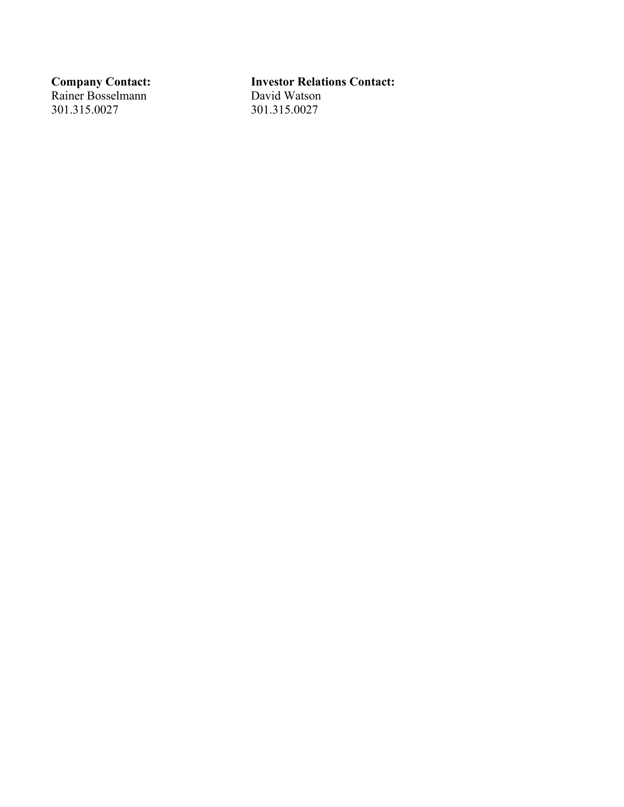Rainer Bosselmann David Watson 301.315.0027 301.315.0027

# **Company Contact:**<br> **Rainer Bosselmann**<br> **Investor Relations Contact:**<br>
David Watson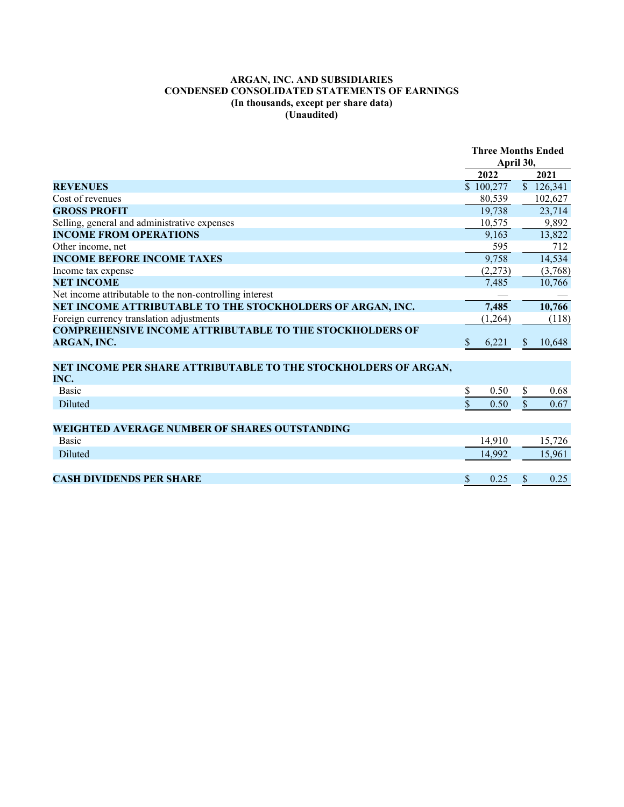### **ARGAN, INC. AND SUBSIDIARIES CONDENSED CONSOLIDATED STATEMENTS OF EARNINGS (In thousands, except per share data) (Unaudited)**

|                                                                 | <b>Three Months Ended</b> |  |               |           |
|-----------------------------------------------------------------|---------------------------|--|---------------|-----------|
|                                                                 | April 30,                 |  |               |           |
|                                                                 | 2022                      |  |               | 2021      |
| <b>REVENUES</b>                                                 | \$100,277                 |  |               | \$126,341 |
| Cost of revenues                                                | 80,539                    |  |               | 102,627   |
| <b>GROSS PROFIT</b>                                             | 19,738                    |  |               | 23,714    |
| Selling, general and administrative expenses                    | 10,575                    |  |               | 9,892     |
| <b>INCOME FROM OPERATIONS</b>                                   | 9,163                     |  |               | 13,822    |
| Other income, net                                               | 595                       |  |               | 712       |
| <b>INCOME BEFORE INCOME TAXES</b>                               | 9,758                     |  |               | 14,534    |
| Income tax expense                                              | (2,273)                   |  |               | (3,768)   |
| <b>NET INCOME</b>                                               | 7,485                     |  |               | 10,766    |
| Net income attributable to the non-controlling interest         |                           |  |               |           |
| NET INCOME ATTRIBUTABLE TO THE STOCKHOLDERS OF ARGAN, INC.      | 7,485                     |  |               | 10,766    |
| Foreign currency translation adjustments                        | (1,264)                   |  |               | (118)     |
| <b>COMPREHENSIVE INCOME ATTRIBUTABLE TO THE STOCKHOLDERS OF</b> |                           |  |               |           |
| ARGAN, INC.                                                     | $\mathbb{S}$<br>6,221     |  | <sup>\$</sup> | 10,648    |
|                                                                 |                           |  |               |           |
| NET INCOME PER SHARE ATTRIBUTABLE TO THE STOCKHOLDERS OF ARGAN, |                           |  |               |           |
| INC.                                                            |                           |  |               |           |
| <b>Basic</b>                                                    | \$<br>0.50                |  | \$            | 0.68      |
| <b>Diluted</b>                                                  | \$<br>0.50                |  | $\mathbf{\$}$ | 0.67      |
|                                                                 |                           |  |               |           |
| <b>WEIGHTED AVERAGE NUMBER OF SHARES OUTSTANDING</b>            |                           |  |               |           |
| <b>Basic</b>                                                    | 14,910                    |  |               | 15,726    |
| <b>Diluted</b>                                                  | 14,992                    |  |               | 15,961    |
|                                                                 |                           |  |               |           |
| <b>CASH DIVIDENDS PER SHARE</b>                                 | \$<br>0.25                |  | \$            | 0.25      |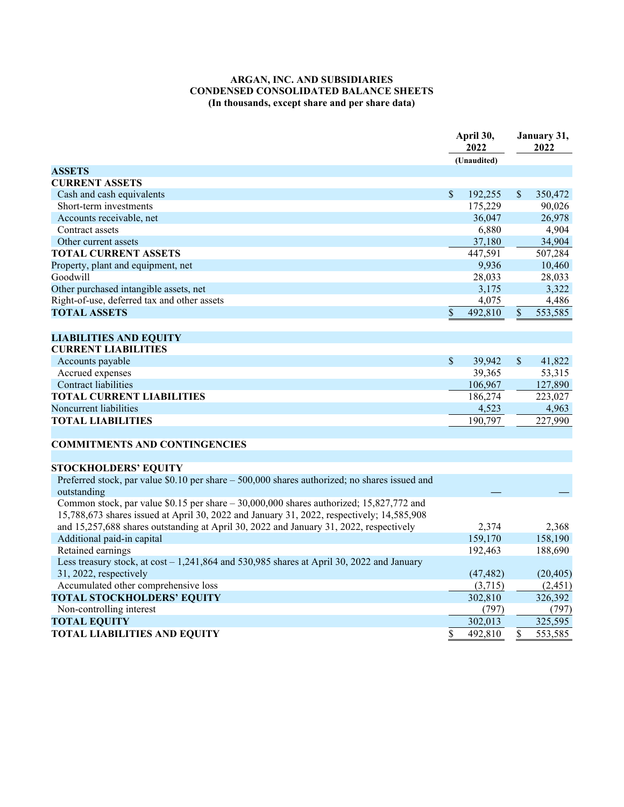### **ARGAN, INC. AND SUBSIDIARIES CONDENSED CONSOLIDATED BALANCE SHEETS (In thousands, except share and per share data)**

|                                                                                                              | April 30,<br>2022 |             |                           | January 31,<br>2022 |  |
|--------------------------------------------------------------------------------------------------------------|-------------------|-------------|---------------------------|---------------------|--|
|                                                                                                              |                   | (Unaudited) |                           |                     |  |
| <b>ASSETS</b>                                                                                                |                   |             |                           |                     |  |
| <b>CURRENT ASSETS</b>                                                                                        |                   |             |                           |                     |  |
| Cash and cash equivalents                                                                                    | \$                | 192,255     | $\boldsymbol{\mathsf{S}}$ | 350,472             |  |
| Short-term investments                                                                                       |                   | 175,229     |                           | 90,026              |  |
| Accounts receivable, net                                                                                     |                   | 36,047      |                           | 26,978              |  |
| Contract assets                                                                                              |                   | 6,880       |                           | 4,904               |  |
| Other current assets                                                                                         |                   | 37,180      |                           | 34,904              |  |
| <b>TOTAL CURRENT ASSETS</b>                                                                                  |                   | 447,591     |                           | 507,284             |  |
| Property, plant and equipment, net                                                                           |                   | 9,936       |                           | 10,460              |  |
| Goodwill                                                                                                     |                   | 28,033      |                           | 28,033              |  |
| Other purchased intangible assets, net                                                                       |                   | 3,175       |                           | 3,322               |  |
| Right-of-use, deferred tax and other assets                                                                  |                   | 4,075       |                           | 4,486               |  |
| <b>TOTAL ASSETS</b>                                                                                          | \$                | 492,810     | $\mathcal{S}$             | 553,585             |  |
|                                                                                                              |                   |             |                           |                     |  |
| <b>LIABILITIES AND EQUITY</b>                                                                                |                   |             |                           |                     |  |
| <b>CURRENT LIABILITIES</b>                                                                                   |                   |             |                           |                     |  |
| Accounts payable                                                                                             | $\sqrt{\ }$       | 39,942      | $\mathcal{S}$             | 41,822              |  |
| Accrued expenses                                                                                             |                   | 39,365      |                           | 53,315              |  |
| Contract liabilities                                                                                         |                   | 106,967     |                           | 127,890             |  |
| <b>TOTAL CURRENT LIABILITIES</b>                                                                             |                   | 186,274     |                           | 223,027             |  |
| Noncurrent liabilities                                                                                       |                   | 4,523       |                           | 4,963               |  |
|                                                                                                              |                   |             |                           |                     |  |
| <b>TOTAL LIABILITIES</b>                                                                                     |                   | 190,797     |                           | 227,990             |  |
|                                                                                                              |                   |             |                           |                     |  |
| <b>COMMITMENTS AND CONTINGENCIES</b>                                                                         |                   |             |                           |                     |  |
|                                                                                                              |                   |             |                           |                     |  |
| <b>STOCKHOLDERS' EQUITY</b>                                                                                  |                   |             |                           |                     |  |
| Preferred stock, par value \$0.10 per share – 500,000 shares authorized; no shares issued and<br>outstanding |                   |             |                           |                     |  |
| Common stock, par value \$0.15 per share $-30,000,000$ shares authorized; 15,827,772 and                     |                   |             |                           |                     |  |
| 15,788,673 shares issued at April 30, 2022 and January 31, 2022, respectively; 14,585,908                    |                   |             |                           |                     |  |
| and 15,257,688 shares outstanding at April 30, 2022 and January 31, 2022, respectively                       |                   | 2,374       |                           | 2,368               |  |
| Additional paid-in capital                                                                                   |                   | 159,170     |                           | 158,190             |  |
| Retained earnings                                                                                            |                   | 192,463     |                           | 188,690             |  |
| Less treasury stock, at $cost - 1,241,864$ and 530,985 shares at April 30, 2022 and January                  |                   |             |                           |                     |  |
| 31, 2022, respectively                                                                                       |                   | (47, 482)   |                           | (20, 405)           |  |
| Accumulated other comprehensive loss                                                                         |                   | (3,715)     |                           | (2, 451)            |  |
| <b>TOTAL STOCKHOLDERS' EQUITY</b>                                                                            |                   | 302,810     |                           | 326,392             |  |
| Non-controlling interest                                                                                     |                   | (797)       |                           | (797)               |  |
| <b>TOTAL EQUITY</b>                                                                                          |                   | 302,013     |                           | 325,595             |  |
|                                                                                                              |                   |             | \$                        |                     |  |
| <b>TOTAL LIABILITIES AND EQUITY</b>                                                                          | \$                | 492,810     |                           | 553,585             |  |